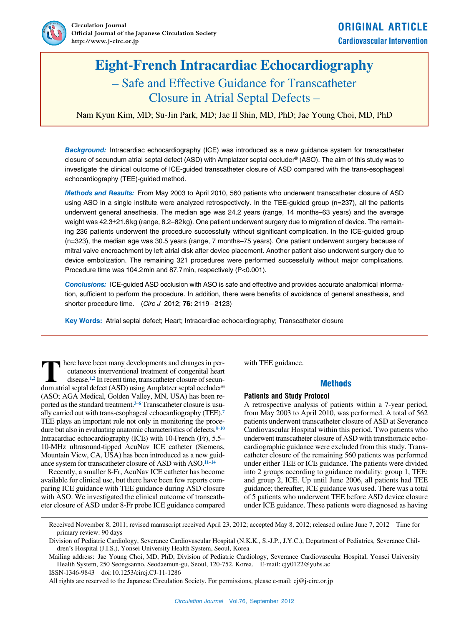

# **Eight-French Intracardiac Echocardiography**

## – Safe and Effective Guidance for Transcatheter Closure in Atrial Septal Defects –

## Nam Kyun Kim, MD; Su-Jin Park, MD; Jae Il Shin, MD, PhD; Jae Young Choi, MD, PhD

**Background:** Intracardiac echocardiography (ICE) was introduced as a new guidance system for transcatheter closure of secundum atrial septal defect (ASD) with Amplatzer septal occluder® (ASO). The aim of this study was to investigate the clinical outcome of ICE-guided transcatheter closure of ASD compared with the trans-esophageal echocardiography (TEE)-guided method.

**Methods and Results:** From May 2003 to April 2010, 560 patients who underwent transcatheter closure of ASD using ASO in a single institute were analyzed retrospectively. In the TEE-guided group (n=237), all the patients underwent general anesthesia. The median age was 24.2 years (range, 14 months–63 years) and the average weight was 42.3 $\pm$ 21.6kg (range, 8.2–82kg). One patient underwent surgery due to migration of device. The remaining 236 patients underwent the procedure successfully without significant complication. In the ICE-guided group (n=323), the median age was 30.5 years (range, 7 months–75 years). One patient underwent surgery because of mitral valve encroachment by left atrial disk after device placement. Another patient also underwent surgery due to device embolization. The remaining 321 procedures were performed successfully without major complications. Procedure time was 104.2min and 87.7min, respectively (P<0.001).

**Conclusions:** ICE-guided ASD occlusion with ASO is safe and effective and provides accurate anatomical information, sufficient to perform the procedure. In addition, there were benefits of avoidance of general anesthesia, and shorter procedure time. (Circ J 2012; **76:** 2119–2123)

**Key Words:** Atrial septal defect; Heart; Intracardiac echocardiography; Transcatheter closure

here have been many developments and changes in percutaneous interventional treatment of congenital heart disease.**1**,**2** In recent time, transcatheter closure of secun-There have been many developments and changes in per-<br>cutaneous interventional treatment of congenital heart<br>disease.<sup>1,2</sup> In recent time, transcatheter closure of secun-<br>dum atrial septal defect (ASD) using Amplatzer sept (ASO; AGA Medical, Golden Valley, MN, USA) has been reported as the standard treatment.**3**–**6** Transcatheter closure is usually carried out with trans-esophageal echocardiography (TEE).**<sup>7</sup>** TEE plays an important role not only in monitoring the procedure but also in evaluating anatomic characteristics of defects.**<sup>8</sup>**–**<sup>10</sup>** Intracardiac echocardiography (ICE) with 10-French (Fr), 5.5– 10-MHz ultrasound-tipped AcuNav ICE catheter (Siemens, Mountain View, CA, USA) has been introduced as a new guidance system for transcatheter closure of ASD with ASO.**<sup>11</sup>**–**<sup>14</sup>**

Recently, a smaller 8-Fr, AcuNav ICE catheter has become available for clinical use, but there have been few reports comparing ICE guidance with TEE guidance during ASD closure with ASO. We investigated the clinical outcome of transcatheter closure of ASD under 8-Fr probe ICE guidance compared with TEE guidance.

## **Methods**

## **Patients and Study Protocol**

A retrospective analysis of patients within a 7-year period, from May 2003 to April 2010, was performed. A total of 562 patients underwent transcatheter closure of ASD at Severance Cardiovascular Hospital within this period. Two patients who underwent transcatheter closure of ASD with transthoracic echocardiographic guidance were excluded from this study. Transcatheter closure of the remaining 560 patients was performed under either TEE or ICE guidance. The patients were divided into 2 groups according to guidance modality: group 1, TEE; and group 2, ICE. Up until June 2006, all patients had TEE guidance; thereafter, ICE guidance was used. There was a total of 5 patients who underwent TEE before ASD device closure under ICE guidance. These patients were diagnosed as having

ISSN-1346-9843 doi:10.1253/circj.CJ-11-1286

All rights are reserved to the Japanese Circulation Society. For permissions, please e-mail: cj@j-circ.or.jp

Received November 8, 2011; revised manuscript received April 23, 2012; accepted May 8, 2012; released online June 7, 2012 Time for primary review: 90 days

Division of Pediatric Cardiology, Severance Cardiovascular Hospital (N.K.K., S.-J.P., J.Y.C.), Department of Pediatrics, Severance Children's Hospital (J.I.S.), Yonsei University Health System, Seoul, Korea

Mailing address: Jae Young Choi, MD, PhD, Division of Pediatric Cardiology, Severance Cardiovascular Hospital, Yonsei University Health System, 250 Seongsanno, Seodaemun-gu, Seoul, 120-752, Korea. E-mail: cjy0122@yuhs.ac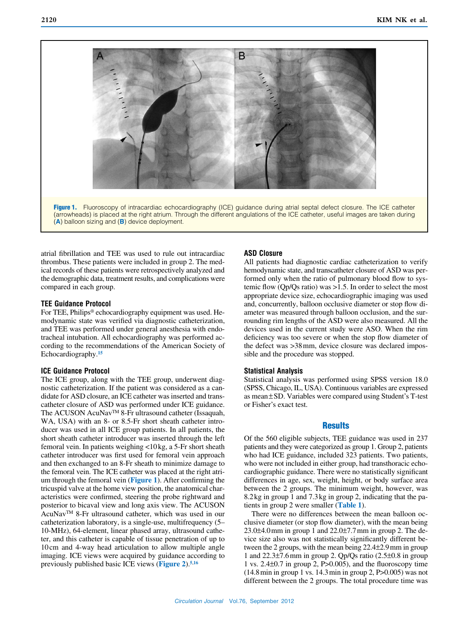

Figure 1. Fluoroscopy of intracardiac echocardiography (ICE) quidance during atrial septal defect closure. The ICE catheter (arrowheads) is placed at the right atrium. Through the different angulations of the ICE catheter, useful images are taken during (**A**) balloon sizing and (**B**) device deployment.

atrial fibrillation and TEE was used to rule out intracardiac thrombus. These patients were included in group 2. The medical records of these patients were retrospectively analyzed and the demographic data, treatment results, and complications were compared in each group.

#### **TEE Guidance Protocol**

For TEE, Philips® echocardiography equipment was used. Hemodynamic state was verified via diagnostic catheterization, and TEE was performed under general anesthesia with endotracheal intubation. All echocardiography was performed according to the recommendations of the American Society of Echocardiography.**<sup>15</sup>**

#### **ICE Guidance Protocol**

The ICE group, along with the TEE group, underwent diagnostic catheterization. If the patient was considered as a candidate for ASD closure, an ICE catheter was inserted and transcatheter closure of ASD was performed under ICE guidance. The ACUSON AcuNavTM 8-Fr ultrasound catheter (Issaquah, WA, USA) with an 8- or 8.5-Fr short sheath catheter introducer was used in all ICE group patients. In all patients, the short sheath catheter introducer was inserted through the left femoral vein. In patients weighing <10kg, a 5-Fr short sheath catheter introducer was first used for femoral vein approach and then exchanged to an 8-Fr sheath to minimize damage to the femoral vein. The ICE catheter was placed at the right atrium through the femoral vein (**Figure 1**). After confirming the tricuspid valve at the home view position, the anatomical characteristics were confirmed, steering the probe rightward and posterior to bicaval view and long axis view. The ACUSON AcuNavTM 8-Fr ultrasound catheter, which was used in our catheterization laboratory, is a single-use, multifrequency (5– 10-MHz), 64-element, linear phased array, ultrasound catheter, and this catheter is capable of tissue penetration of up to 10cm and 4-way head articulation to allow multiple angle imaging. ICE views were acquired by guidance according to previously published basic ICE views (**Figure 2**).**<sup>5</sup>**,**<sup>16</sup>**

#### **ASD Closure**

All patients had diagnostic cardiac catheterization to verify hemodynamic state, and transcatheter closure of ASD was performed only when the ratio of pulmonary blood flow to systemic flow (Qp/Qs ratio) was >1.5. In order to select the most appropriate device size, echocardiographic imaging was used and, concurrently, balloon occlusive diameter or stop flow diameter was measured through balloon occlusion, and the surrounding rim lengths of the ASD were also measured. All the devices used in the current study were ASO. When the rim deficiency was too severe or when the stop flow diameter of the defect was >38mm, device closure was declared impossible and the procedure was stopped.

#### **Statistical Analysis**

Statistical analysis was performed using SPSS version 18.0 (SPSS, Chicago, IL, USA). Continuous variables are expressed as mean±SD. Variables were compared using Student's T-test or Fisher's exact test.

#### **Results**

Of the 560 eligible subjects, TEE guidance was used in 237 patients and they were categorized as group 1. Group 2, patients who had ICE guidance, included 323 patients. Two patients, who were not included in either group, had transthoracic echocardiographic guidance. There were no statistically significant differences in age, sex, weight, height, or body surface area between the 2 groups. The minimum weight, however, was 8.2kg in group 1 and 7.3kg in group 2, indicating that the patients in group 2 were smaller (**Table 1**).

There were no differences between the mean balloon occlusive diameter (or stop flow diameter), with the mean being  $23.0\pm4.0$  mm in group 1 and  $22.0\pm7.7$  mm in group 2. The device size also was not statistically significantly different between the 2 groups, with the mean being 22.4±2.9mm in group 1 and 22.3±7.6mm in group 2. Qp/Qs ratio (2.5±0.8 in group 1 vs. 2.4±0.7 in group 2, P>0.005), and the fluoroscopy time (14.8min in group 1 vs. 14.3min in group 2, P>0.005) was not different between the 2 groups. The total procedure time was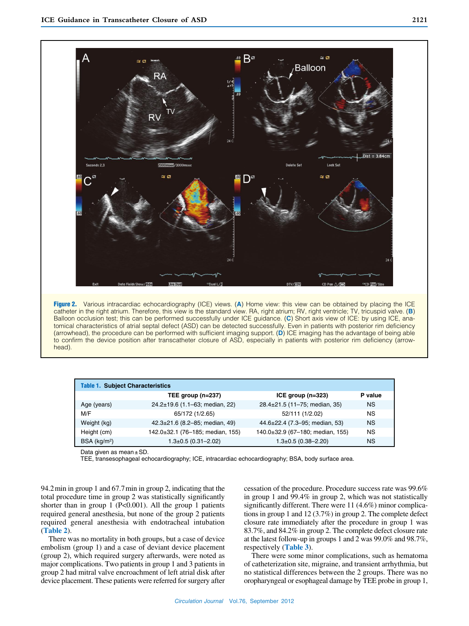

Figure 2. Various intracardiac echocardiography (ICE) views. (**A**) Home view: this view can be obtained by placing the ICE catheter in the right atrium. Therefore, this view is the standard view. RA, right atrium; RV, right ventricle; TV, tricuspid valve. (**B**) Balloon occlusion test; this can be performed successfully under ICE guidance. (**C**) Short axis view of ICE: by using ICE, anatomical characteristics of atrial septal defect (ASD) can be detected successfully. Even in patients with posterior rim deficiency (arrowhead), the procedure can be performed with sufficient imaging support. (**D**) ICE imaging has the advantage of being able to confirm the device position after transcatheter closure of ASD, especially in patients with posterior rim deficiency (arrowhead).

| <b>Table 1. Subject Characteristics</b> |                                  |                                  |           |  |  |  |
|-----------------------------------------|----------------------------------|----------------------------------|-----------|--|--|--|
|                                         | TEE group (n=237)                | ICE group $(n=323)$              | P value   |  |  |  |
| Age (years)                             | 24.2±19.6 (1.1-63; median, 22)   | 28.4±21.5 (11-75; median, 35)    | <b>NS</b> |  |  |  |
| M/F                                     | 65/172 (1/2.65)                  | 52/111 (1/2.02)                  | <b>NS</b> |  |  |  |
| Weight (kg)                             | 42.3±21.6 (8.2-85; median, 49)   | 44.6±22.4 (7.3-95; median, 53)   | <b>NS</b> |  |  |  |
| Height (cm)                             | 142.0±32.1 (76-185; median, 155) | 140.0±32.9 (67-180; median, 155) | <b>NS</b> |  |  |  |
| BSA (kg/m <sup>2</sup> )                | $1.3\pm0.5$ (0.31-2.02)          | $1.3\pm0.5(0.38-2.20)$           | <b>NS</b> |  |  |  |

Data given as mean±SD.

TEE, transesophageal echocardiography; ICE, intracardiac echocardiography; BSA, body surface area.

94.2min in group 1 and 67.7min in group 2, indicating that the total procedure time in group 2 was statistically significantly shorter than in group 1 (P<0.001). All the group 1 patients required general anesthesia, but none of the group 2 patients required general anesthesia with endotracheal intubation (**Table 2**).

There was no mortality in both groups, but a case of device embolism (group 1) and a case of deviant device placement (group 2), which required surgery afterwards, were noted as major complications. Two patients in group 1 and 3 patients in group 2 had mitral valve encroachment of left atrial disk after device placement. These patients were referred for surgery after cessation of the procedure. Procedure success rate was 99.6% in group 1 and 99.4% in group 2, which was not statistically significantly different. There were 11 (4.6%) minor complications in group 1 and 12 (3.7%) in group 2. The complete defect closure rate immediately after the procedure in group 1 was 83.7%, and 84.2% in group 2. The complete defect closure rate at the latest follow-up in groups 1 and 2 was 99.0% and 98.7%, respectively (**Table 3**).

There were some minor complications, such as hematoma of catheterization site, migraine, and transient arrhythmia, but no statistical differences between the 2 groups. There was no oropharyngeal or esophageal damage by TEE probe in group 1,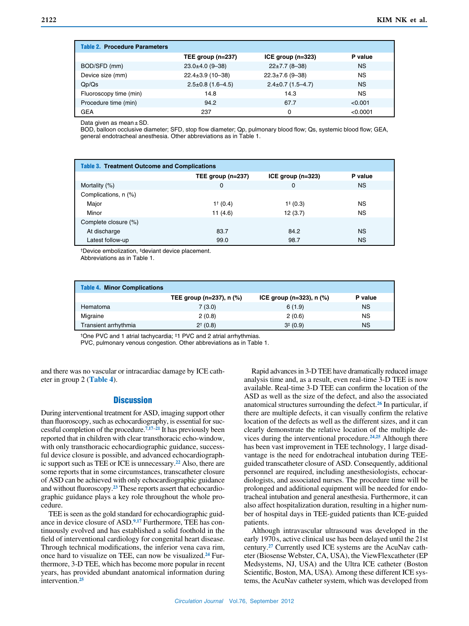| <b>Table 2. Procedure Parameters</b> |                        |                       |           |
|--------------------------------------|------------------------|-----------------------|-----------|
|                                      | TEE group (n=237)      | ICE group $(n=323)$   | P value   |
| BOD/SFD (mm)                         | $23.0 \pm 4.0$ (9-38)  | $22 \pm 7.7$ (8-38)   | <b>NS</b> |
| Device size (mm)                     | $22.4 \pm 3.9$ (10-38) | $22.3 \pm 7.6$ (9-38) | ΝS        |
| Qp/Qs                                | $2.5\pm0.8$ (1.6-4.5)  | $2.4\pm0.7(1.5-4.7)$  | <b>NS</b> |
| Fluoroscopy time (min)               | 14.8                   | 14.3                  | ΝS        |
| Procedure time (min)                 | 94.2                   | 67.7                  | < 0.001   |
| <b>GEA</b>                           | 237                    | 0                     | < 0.0001  |

Data given as mean±SD.

BOD, balloon occlusive diameter; SFD, stop flow diameter; Qp, pulmonary blood flow; Qs, systemic blood flow; GEA, general endotracheal anesthesia. Other abbreviations as in Table 1.

| <b>Table 3. Treatment Outcome and Complications</b> |                   |                     |           |  |  |
|-----------------------------------------------------|-------------------|---------------------|-----------|--|--|
|                                                     | TEE group (n=237) | ICE group $(n=323)$ | P value   |  |  |
| Mortality (%)                                       | 0                 | 0                   | <b>NS</b> |  |  |
| Complications, n (%)                                |                   |                     |           |  |  |
| Major                                               | $1^+(0.4)$        | $1^+(0.3)$          | <b>NS</b> |  |  |
| Minor                                               | 11(4.6)           | 12(3.7)             | <b>NS</b> |  |  |
| Complete closure (%)                                |                   |                     |           |  |  |
| At discharge                                        | 83.7              | 84.2                | <b>NS</b> |  |  |
| Latest follow-up                                    | 99.0              | 98.7                | <b>NS</b> |  |  |

†Device embolization, ‡deviant device placement.

Abbreviations as in Table 1.

| <b>Table 4. Minor Complications</b> |                          |                                |           |
|-------------------------------------|--------------------------|--------------------------------|-----------|
|                                     | TEE group (n=237), n (%) | ICE group ( $n=323$ ), n $(%)$ | P value   |
| Hematoma                            | 7(3.0)                   | 6(1.9)                         | NS.       |
| Migraine                            | 2(0.8)                   | 2(0.6)                         | <b>NS</b> |
| Transient arrhythmia                | $2^{+}$ (0.8)            | $3^{+}$ (0.9)                  | NS.       |

†One PVC and 1 atrial tachycardia; ‡1 PVC and 2 atrial arrhythmias.

PVC, pulmonary venous congestion. Other abbreviations as in Table 1.

and there was no vascular or intracardiac damage by ICE catheter in group 2 (**Table 4**).

#### **Discussion**

During interventional treatment for ASD, imaging support other than fluoroscopy, such as echocardiography, is essential for successful completion of the procedure.**<sup>7</sup>**,**17**–**<sup>21</sup>** It has previously been reported that in children with clear transthoracic echo-window, with only transthoracic echocardiographic guidance, successful device closure is possible, and advanced echocardiographic support such as TEE or ICE is unnecessary.**22** Also, there are some reports that in some circumstances, transcatheter closure of ASD can be achieved with only echocardiographic guidance and without fluoroscopy.**23** These reports assert that echocardiographic guidance plays a key role throughout the whole procedure.

TEE is seen as the gold standard for echocardiographic guidance in device closure of ASD.**9**,**17** Furthermore, TEE has continuously evolved and has established a solid foothold in the field of interventional cardiology for congenital heart disease. Through technical modifications, the inferior vena cava rim, once hard to visualize on TEE, can now be visualized.**24** Furthermore, 3-D TEE, which has become more popular in recent years, has provided abundant anatomical information during intervention.**<sup>25</sup>**

Rapid advances in 3-D TEE have dramatically reduced image analysis time and, as a result, even real-time 3-D TEE is now available. Real-time 3-D TEE can confirm the location of the ASD as well as the size of the defect, and also the associated anatomical structures surrounding the defect.**26** In particular, if there are multiple defects, it can visually confirm the relative location of the defects as well as the different sizes, and it can clearly demonstrate the relative location of the multiple devices during the interventional procedure.**<sup>24</sup>**,**<sup>25</sup>** Although there has been vast improvement in TEE technology, 1 large disadvantage is the need for endotracheal intubation during TEEguided transcatheter closure of ASD. Consequently, additional personnel are required, including anesthesiologists, echocardiologists, and associated nurses. The procedure time will be prolonged and additional equipment will be needed for endotracheal intubation and general anesthesia. Furthermore, it can also affect hospitalization duration, resulting in a higher number of hospital days in TEE-guided patients than ICE-guided patients.

Although intravascular ultrasound was developed in the early 1970s, active clinical use has been delayed until the 21st century.**27** Currently used ICE systems are the AcuNav catheter (Biosense Webster, CA, USA), the ViewFlexcatheter (EP Medsystems, NJ, USA) and the Ultra ICE catheter (Boston Scientific, Boston, MA, USA). Among these different ICE systems, the AcuNav catheter system, which was developed from